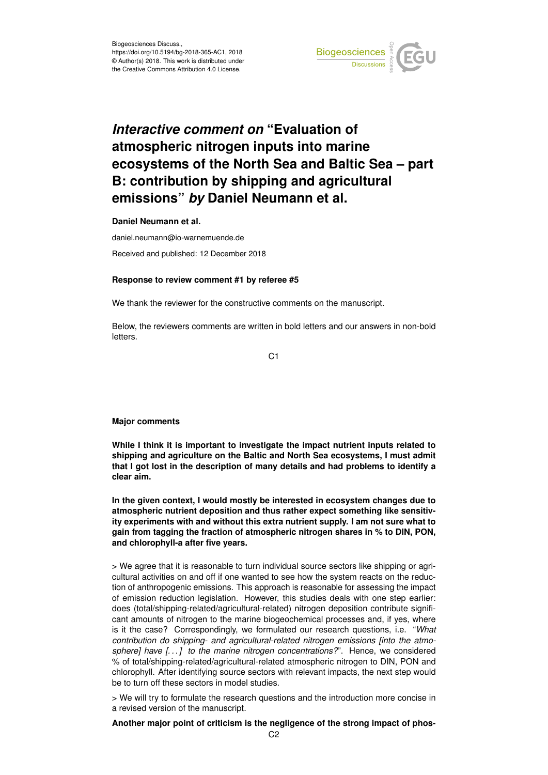

# *Interactive comment on* **"Evaluation of atmospheric nitrogen inputs into marine ecosystems of the North Sea and Baltic Sea – part B: contribution by shipping and agricultural emissions"** *by* **Daniel Neumann et al.**

**Daniel Neumann et al.**

daniel.neumann@io-warnemuende.de Received and published: 12 December 2018

#### **Response to review comment #1 by referee #5**

We thank the reviewer for the constructive comments on the manuscript.

Below, the reviewers comments are written in bold letters and our answers in non-bold letters.

C<sub>1</sub>

**Major comments**

**While I think it is important to investigate the impact nutrient inputs related to shipping and agriculture on the Baltic and North Sea ecosystems, I must admit that I got lost in the description of many details and had problems to identify a clear aim.**

**In the given context, I would mostly be interested in ecosystem changes due to atmospheric nutrient deposition and thus rather expect something like sensitivity experiments with and without this extra nutrient supply. I am not sure what to gain from tagging the fraction of atmospheric nitrogen shares in % to DIN, PON, and chlorophyll-a after five years.**

> We agree that it is reasonable to turn individual source sectors like shipping or agricultural activities on and off if one wanted to see how the system reacts on the reduction of anthropogenic emissions. This approach is reasonable for assessing the impact of emission reduction legislation. However, this studies deals with one step earlier: does (total/shipping-related/agricultural-related) nitrogen deposition contribute significant amounts of nitrogen to the marine biogeochemical processes and, if yes, where is it the case? Correspondingly, we formulated our research questions, i.e. "*What contribution do shipping- and agricultural-related nitrogen emissions [into the atmosphere] have [. . . ] to the marine nitrogen concentrations?*". Hence, we considered % of total/shipping-related/agricultural-related atmospheric nitrogen to DIN, PON and chlorophyll. After identifying source sectors with relevant impacts, the next step would be to turn off these sectors in model studies.

> We will try to formulate the research questions and the introduction more concise in a revised version of the manuscript.

**Another major point of criticism is the negligence of the strong impact of phos-**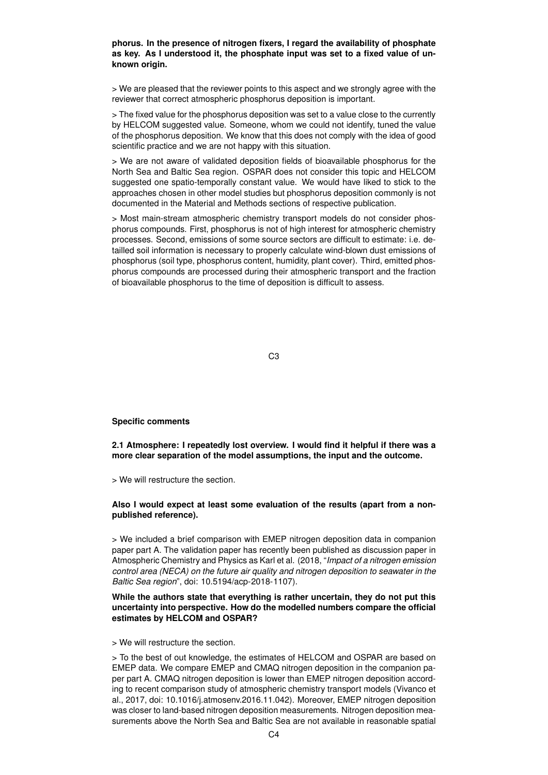#### **phorus. In the presence of nitrogen fixers, I regard the availability of phosphate as key. As I understood it, the phosphate input was set to a fixed value of unknown origin.**

> We are pleased that the reviewer points to this aspect and we strongly agree with the reviewer that correct atmospheric phosphorus deposition is important.

> The fixed value for the phosphorus deposition was set to a value close to the currently by HELCOM suggested value. Someone, whom we could not identify, tuned the value of the phosphorus deposition. We know that this does not comply with the idea of good scientific practice and we are not happy with this situation.

> We are not aware of validated deposition fields of bioavailable phosphorus for the North Sea and Baltic Sea region. OSPAR does not consider this topic and HELCOM suggested one spatio-temporally constant value. We would have liked to stick to the approaches chosen in other model studies but phosphorus deposition commonly is not documented in the Material and Methods sections of respective publication.

> Most main-stream atmospheric chemistry transport models do not consider phosphorus compounds. First, phosphorus is not of high interest for atmospheric chemistry processes. Second, emissions of some source sectors are difficult to estimate: i.e. detailled soil information is necessary to properly calculate wind-blown dust emissions of phosphorus (soil type, phosphorus content, humidity, plant cover). Third, emitted phosphorus compounds are processed during their atmospheric transport and the fraction of bioavailable phosphorus to the time of deposition is difficult to assess.

#### C3

#### **Specific comments**

**2.1 Atmosphere: I repeatedly lost overview. I would find it helpful if there was a more clear separation of the model assumptions, the input and the outcome.**

> We will restructure the section.

## **Also I would expect at least some evaluation of the results (apart from a nonpublished reference).**

> We included a brief comparison with EMEP nitrogen deposition data in companion paper part A. The validation paper has recently been published as discussion paper in Atmospheric Chemistry and Physics as Karl et al. (2018, "*Impact of a nitrogen emission control area (NECA) on the future air quality and nitrogen deposition to seawater in the Baltic Sea region*", doi: 10.5194/acp-2018-1107).

## **While the authors state that everything is rather uncertain, they do not put this uncertainty into perspective. How do the modelled numbers compare the official estimates by HELCOM and OSPAR?**

> We will restructure the section.

> To the best of out knowledge, the estimates of HELCOM and OSPAR are based on EMEP data. We compare EMEP and CMAQ nitrogen deposition in the companion paper part A. CMAQ nitrogen deposition is lower than EMEP nitrogen deposition according to recent comparison study of atmospheric chemistry transport models (Vivanco et al., 2017, doi: 10.1016/j.atmosenv.2016.11.042). Moreover, EMEP nitrogen deposition was closer to land-based nitrogen deposition measurements. Nitrogen deposition measurements above the North Sea and Baltic Sea are not available in reasonable spatial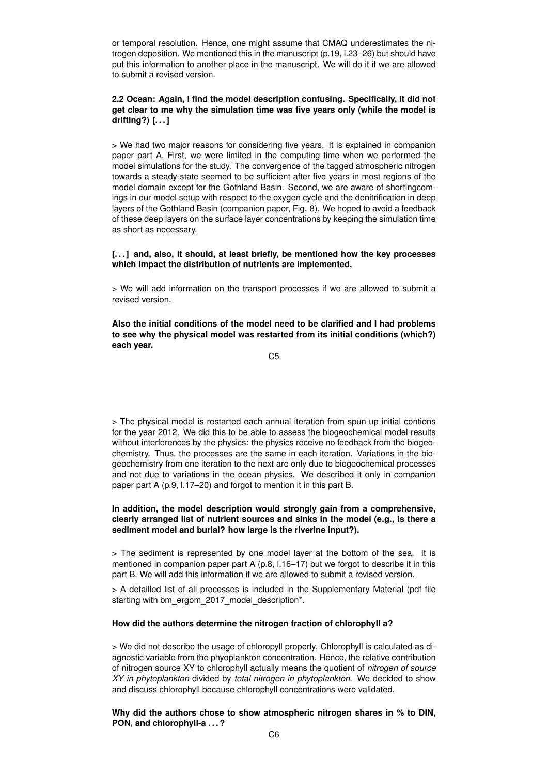or temporal resolution. Hence, one might assume that CMAQ underestimates the nitrogen deposition. We mentioned this in the manuscript (p.19, l.23–26) but should have put this information to another place in the manuscript. We will do it if we are allowed to submit a revised version.

# **2.2 Ocean: Again, I find the model description confusing. Specifically, it did not get clear to me why the simulation time was five years only (while the model is drifting?) [. . . ]**

> We had two major reasons for considering five years. It is explained in companion paper part A. First, we were limited in the computing time when we performed the model simulations for the study. The convergence of the tagged atmospheric nitrogen towards a steady-state seemed to be sufficient after five years in most regions of the model domain except for the Gothland Basin. Second, we are aware of shortingcomings in our model setup with respect to the oxygen cycle and the denitrification in deep layers of the Gothland Basin (companion paper, Fig. 8). We hoped to avoid a feedback of these deep layers on the surface layer concentrations by keeping the simulation time as short as necessary.

## **[. . . ] and, also, it should, at least briefly, be mentioned how the key processes which impact the distribution of nutrients are implemented.**

> We will add information on the transport processes if we are allowed to submit a revised version.

**Also the initial conditions of the model need to be clarified and I had problems to see why the physical model was restarted from its initial conditions (which?) each year.**

C5

> The physical model is restarted each annual iteration from spun-up initial contions for the year 2012. We did this to be able to assess the biogeochemical model results without interferences by the physics: the physics receive no feedback from the biogeochemistry. Thus, the processes are the same in each iteration. Variations in the biogeochemistry from one iteration to the next are only due to biogeochemical processes and not due to variations in the ocean physics. We described it only in companion paper part A (p.9, l.17–20) and forgot to mention it in this part B.

# **In addition, the model description would strongly gain from a comprehensive, clearly arranged list of nutrient sources and sinks in the model (e.g., is there a sediment model and burial? how large is the riverine input?).**

> The sediment is represented by one model layer at the bottom of the sea. It is mentioned in companion paper part A (p.8, l.16–17) but we forgot to describe it in this part B. We will add this information if we are allowed to submit a revised version.

> A detailled list of all processes is included in the Supplementary Material (pdf file starting with bm\_ergom\_2017\_model\_description\*.

## **How did the authors determine the nitrogen fraction of chlorophyll a?**

> We did not describe the usage of chloropyll properly. Chlorophyll is calculated as diagnostic variable from the phyoplankton concentration. Hence, the relative contribution of nitrogen source XY to chlorophyll actually means the quotient of *nitrogen of source XY in phytoplankton* divided by *total nitrogen in phytoplankton*. We decided to show and discuss chlorophyll because chlorophyll concentrations were validated.

**Why did the authors chose to show atmospheric nitrogen shares in % to DIN, PON, and chlorophyll-a . . . ?**